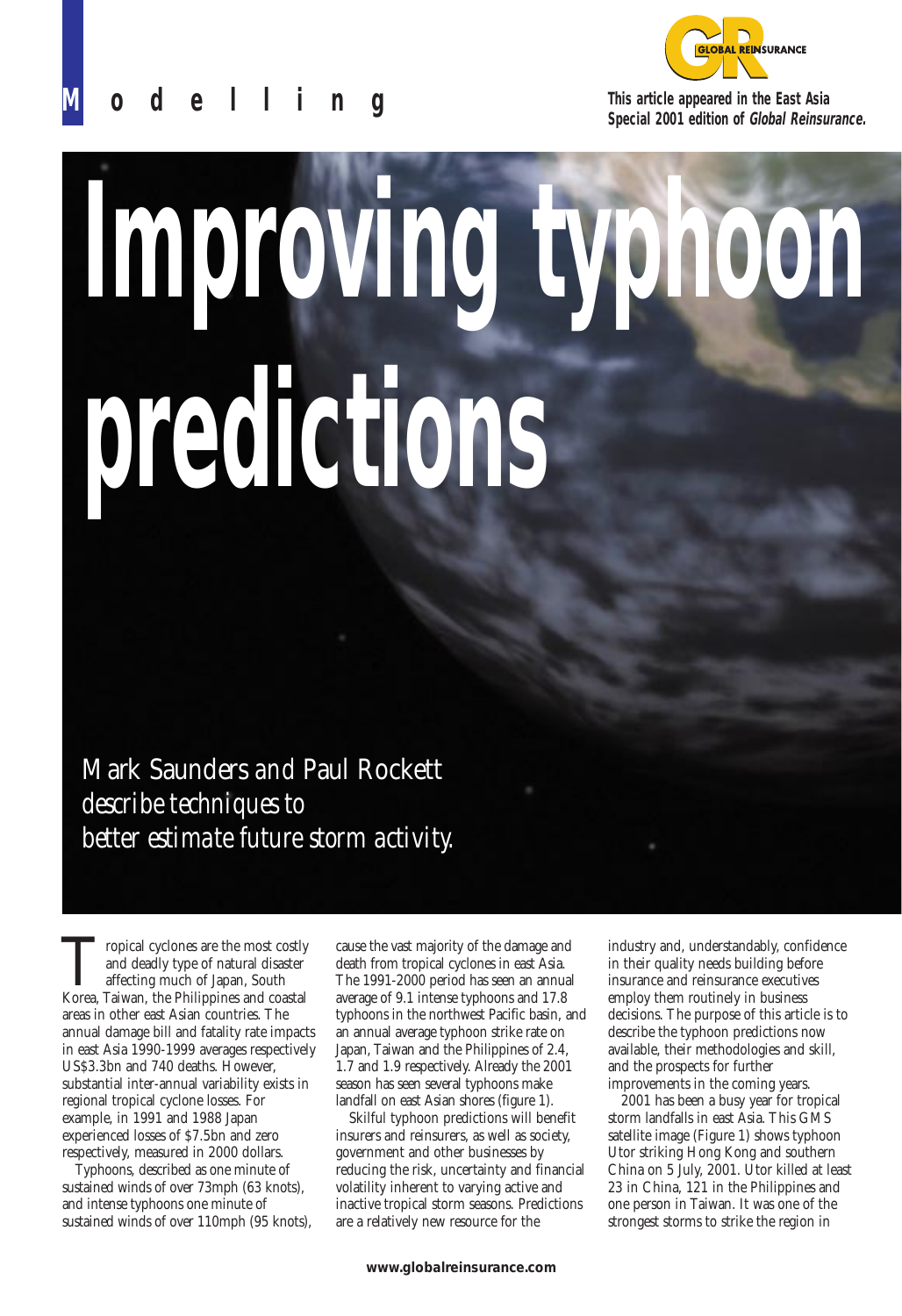

**M odelling**

**This article appeared in the East Asia Special 2001 edition of Global Reinsurance.**

# **Improving typhoon predictions**

Mark Saunders *and* Paul Rockett *describe techniques to better estimate future storm activity.*

Tropical cyclones are the most costly and deadly type of natural disaster affecting much of Japan, South Korea, Taiwan, the Philippines and coastal and deadly type of natural disaster affecting much of Japan, South areas in other east Asian countries. The annual damage bill and fatality rate impacts in east Asia 1990-1999 averages respectively US\$3.3bn and 740 deaths. However, substantial inter-annual variability exists in regional tropical cyclone losses. For example, in 1991 and 1988 Japan experienced losses of \$7.5bn and zero respectively, measured in 2000 dollars.

Typhoons, described as one minute of sustained winds of over 73mph (63 knots), and intense typhoons one minute of sustained winds of over 110mph (95 knots),

cause the vast majority of the damage and death from tropical cyclones in east Asia. The 1991-2000 period has seen an annual average of 9.1 intense typhoons and 17.8 typhoons in the northwest Pacific basin, and an annual average typhoon strike rate on Japan, Taiwan and the Philippines of 2.4, 1.7 and 1.9 respectively. Already the 2001 season has seen several typhoons make landfall on east Asian shores (figure 1).

Skilful typhoon predictions will benefit insurers and reinsurers, as well as society, government and other businesses by reducing the risk, uncertainty and financial volatility inherent to varying active and inactive tropical storm seasons. Predictions are a relatively new resource for the

industry and, understandably, confidence in their quality needs building before insurance and reinsurance executives employ them routinely in business decisions. The purpose of this article is to describe the typhoon predictions now available, their methodologies and skill, and the prospects for further improvements in the coming years.

2001 has been a busy year for tropical storm landfalls in east Asia. This GMS satellite image (Figure 1) shows typhoon Utor striking Hong Kong and southern China on 5 July, 2001. Utor killed at least 23 in China, 121 in the Philippines and one person in Taiwan. It was one of the strongest storms to strike the region in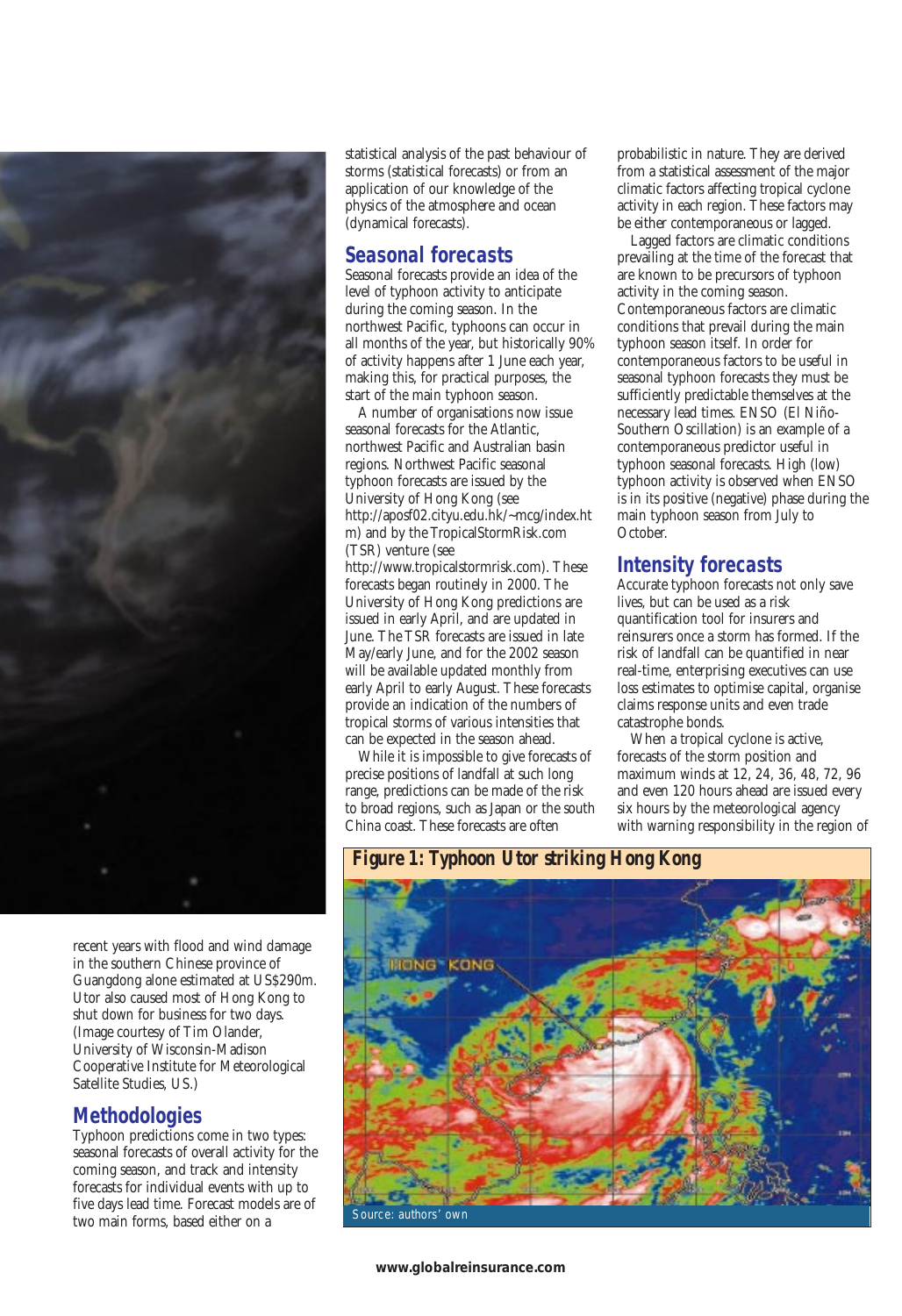

recent years with flood and wind damage in the southern Chinese province of Guangdong alone estimated at US\$290m. Utor also caused most of Hong Kong to shut down for business for two days. (Image courtesy of Tim Olander, University of Wisconsin-Madison Cooperative Institute for Meteorological Satellite Studies, US.)

### **Methodologies**

Typhoon predictions come in two types: seasonal forecasts of overall activity for the coming season, and track and intensity forecasts for individual events with up to five days lead time. Forecast models are of two main forms, based either on a

statistical analysis of the past behaviour of storms (statistical forecasts) or from an application of our knowledge of the physics of the atmosphere and ocean (dynamical forecasts).

### **Seasonal forecasts**

Seasonal forecasts provide an idea of the level of typhoon activity to anticipate during the coming season. In the northwest Pacific, typhoons can occur in all months of the year, but historically 90% of activity happens after 1 June each year, making this, for practical purposes, the start of the main typhoon season.

A number of organisations now issue seasonal forecasts for the Atlantic, northwest Pacific and Australian basin regions. Northwest Pacific seasonal typhoon forecasts are issued by the University of Hong Kong (see http://aposf02.cityu.edu.hk/~mcg/index.ht m) and by the TropicalStormRisk.com (TSR) venture (see

http://www.tropicalstormrisk.com). These forecasts began routinely in 2000. The University of Hong Kong predictions are issued in early April, and are updated in June. The TSR forecasts are issued in late May/early June, and for the 2002 season will be available updated monthly from early April to early August. These forecasts provide an indication of the numbers of tropical storms of various intensities that can be expected in the season ahead.

While it is impossible to give forecasts of precise positions of landfall at such long range, predictions can be made of the risk to broad regions, such as Japan or the south China coast. These forecasts are often

probabilistic in nature. They are derived from a statistical assessment of the major climatic factors affecting tropical cyclone activity in each region. These factors may be either contemporaneous or lagged.

Lagged factors are climatic conditions prevailing at the time of the forecast that are known to be precursors of typhoon activity in the coming season. Contemporaneous factors are climatic conditions that prevail during the main typhoon season itself. In order for contemporaneous factors to be useful in seasonal typhoon forecasts they must be sufficiently predictable themselves at the necessary lead times. ENSO (El Niño-Southern Oscillation) is an example of a contemporaneous predictor useful in typhoon seasonal forecasts. High (low) typhoon activity is observed when ENSO is in its positive (negative) phase during the main typhoon season from July to October.

## **Intensity forecasts**

Accurate typhoon forecasts not only save lives, but can be used as a risk quantification tool for insurers and reinsurers once a storm has formed. If the risk of landfall can be quantified in near real-time, enterprising executives can use loss estimates to optimise capital, organise claims response units and even trade catastrophe bonds.

When a tropical cyclone is active, forecasts of the storm position and maximum winds at 12, 24, 36, 48, 72, 96 and even 120 hours ahead are issued every six hours by the meteorological agency with warning responsibility in the region of

*Figure 1: Typhoon Utor striking Hong Kong*

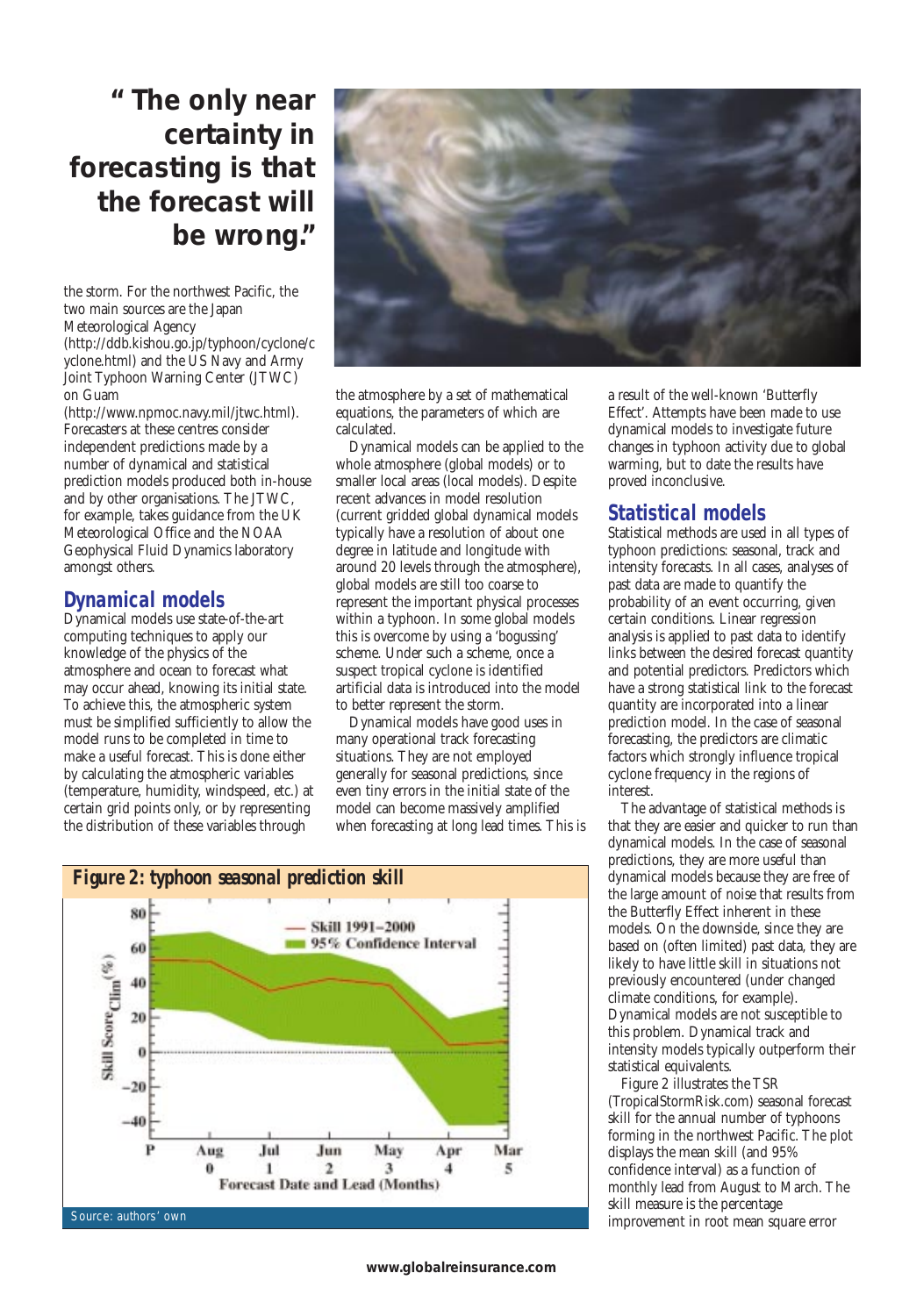# **" The only near certainty in forecasting is that the forecast will be wrong."**

the storm. For the northwest Pacific, the two main sources are the Japan Meteorological Agency

(http://ddb.kishou.go.jp/typhoon/cyclone/c yclone.html) and the US Navy and Army Joint Typhoon Warning Center (JTWC) on Guam

(http://www.npmoc.navy.mil/jtwc.html). Forecasters at these centres consider independent predictions made by a number of dynamical and statistical prediction models produced both in-house and by other organisations. The JTWC, for example, takes guidance from the UK Meteorological Office and the NOAA Geophysical Fluid Dynamics laboratory amongst others.

### **Dynamical models**

Dynamical models use state-of-the-art computing techniques to apply our knowledge of the physics of the atmosphere and ocean to forecast what may occur ahead, knowing its initial state. To achieve this, the atmospheric system must be simplified sufficiently to allow the model runs to be completed in time to make a useful forecast. This is done either by calculating the atmospheric variables (temperature, humidity, windspeed, etc.) at certain grid points only, or by representing the distribution of these variables through



the atmosphere by a set of mathematical equations, the parameters of which are calculated.

Dynamical models can be applied to the whole atmosphere (global models) or to smaller local areas (local models). Despite recent advances in model resolution (current gridded global dynamical models typically have a resolution of about one degree in latitude and longitude with around 20 levels through the atmosphere), global models are still too coarse to represent the important physical processes within a typhoon. In some global models this is overcome by using a 'bogussing' scheme. Under such a scheme, once a suspect tropical cyclone is identified artificial data is introduced into the model to better represent the storm.

Dynamical models have good uses in many operational track forecasting situations. They are not employed generally for seasonal predictions, since even tiny errors in the initial state of the model can become massively amplified when forecasting at long lead times. This is



a result of the well-known 'Butterfly Effect'. Attempts have been made to use dynamical models to investigate future changes in typhoon activity due to global warming, but to date the results have proved inconclusive.

### **Statistical models**

Statistical methods are used in all types of typhoon predictions: seasonal, track and intensity forecasts. In all cases, analyses of past data are made to quantify the probability of an event occurring, given certain conditions. Linear regression analysis is applied to past data to identify links between the desired forecast quantity and potential predictors. Predictors which have a strong statistical link to the forecast quantity are incorporated into a linear prediction model. In the case of seasonal forecasting, the predictors are climatic factors which strongly influence tropical cyclone frequency in the regions of interest.

The advantage of statistical methods is that they are easier and quicker to run than dynamical models. In the case of seasonal predictions, they are more useful than dynamical models because they are free of the large amount of noise that results from the Butterfly Effect inherent in these models. On the downside, since they are based on (often limited) past data, they are likely to have little skill in situations not previously encountered (under changed climate conditions, for example). Dynamical models are not susceptible to this problem. Dynamical track and intensity models typically outperform their statistical equivalents.

Figure 2 illustrates the TSR (TropicalStormRisk.com) seasonal forecast skill for the annual number of typhoons forming in the northwest Pacific. The plot displays the mean skill (and 95% confidence interval) as a function of monthly lead from August to March. The skill measure is the percentage improvement in root mean square error